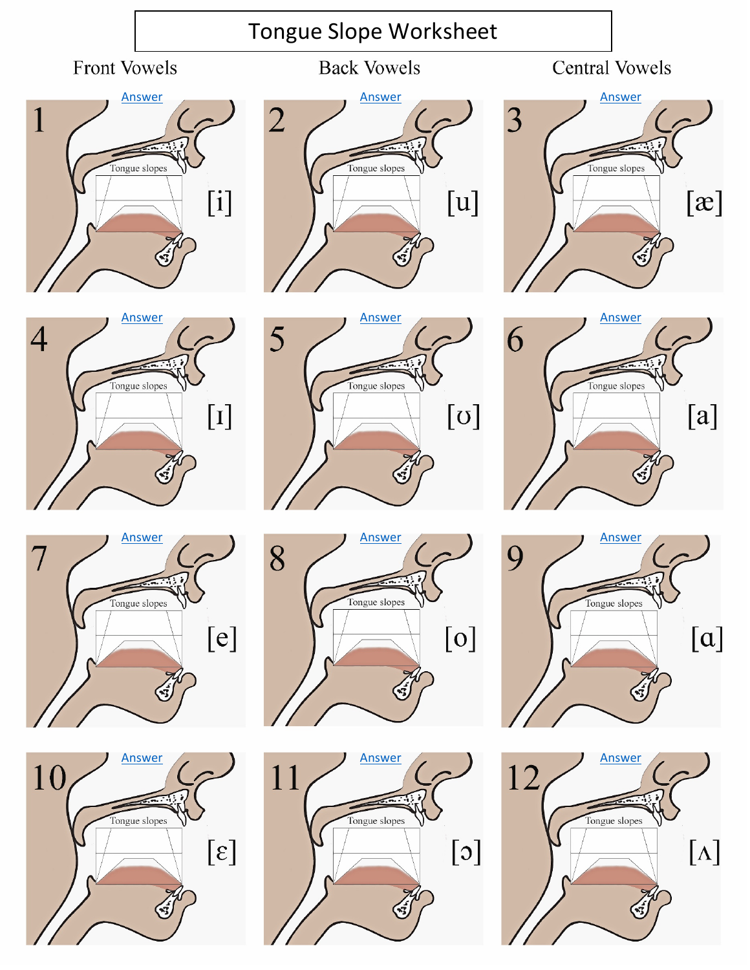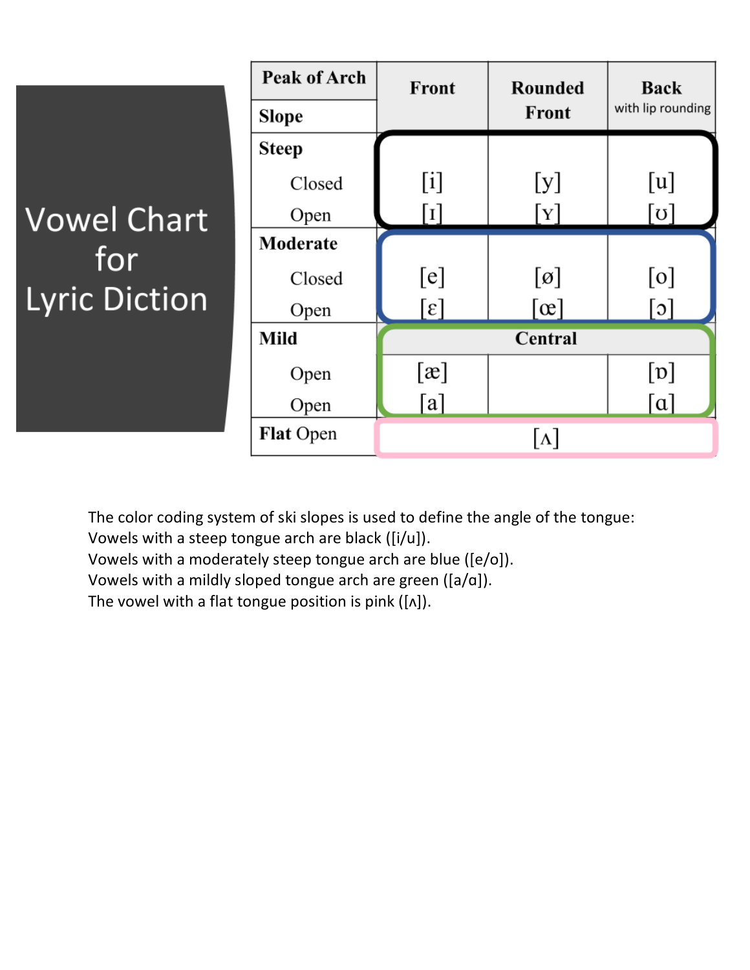|                                                   | <b>Peak of Arch</b> | Front             | <b>Rounded</b>             | <b>Back</b>       |
|---------------------------------------------------|---------------------|-------------------|----------------------------|-------------------|
|                                                   | <b>Slope</b>        |                   | Front                      | with lip rounding |
| <b>Vowel Chart</b><br>for<br><b>Lyric Diction</b> | <b>Steep</b>        |                   |                            |                   |
|                                                   | Closed              | [i]               | [y]                        | [u]               |
|                                                   | Open                | $\lceil 1 \rceil$ | $\lceil \mathrm{Y} \rceil$ | [ن]               |
|                                                   | Moderate            |                   |                            |                   |
|                                                   | Closed              | [e]               | $[\emptyset]$              | [0]               |
|                                                   | Open                | $[\epsilon]$      | $\lceil \infty \rceil$     | $[\circ]$         |
|                                                   | Mild                | Central           |                            |                   |
|                                                   | Open                | [x]               |                            | $[\mathfrak{v}]$  |
|                                                   | Open                | [a]               |                            | $\lceil a \rceil$ |
|                                                   | <b>Flat Open</b>    |                   | $\lceil \Lambda \rceil$    |                   |

The color coding system of ski slopes is used to define the angle of the tongue:

Vowels with a steep tongue arch are black ([i/u]).

Vowels with a moderately steep tongue arch are blue ([e/o]).

Vowels with a mildly sloped tongue arch are green ([a/ɑ]).

The vowel with a flat tongue position is pink ( $[\Lambda]$ ).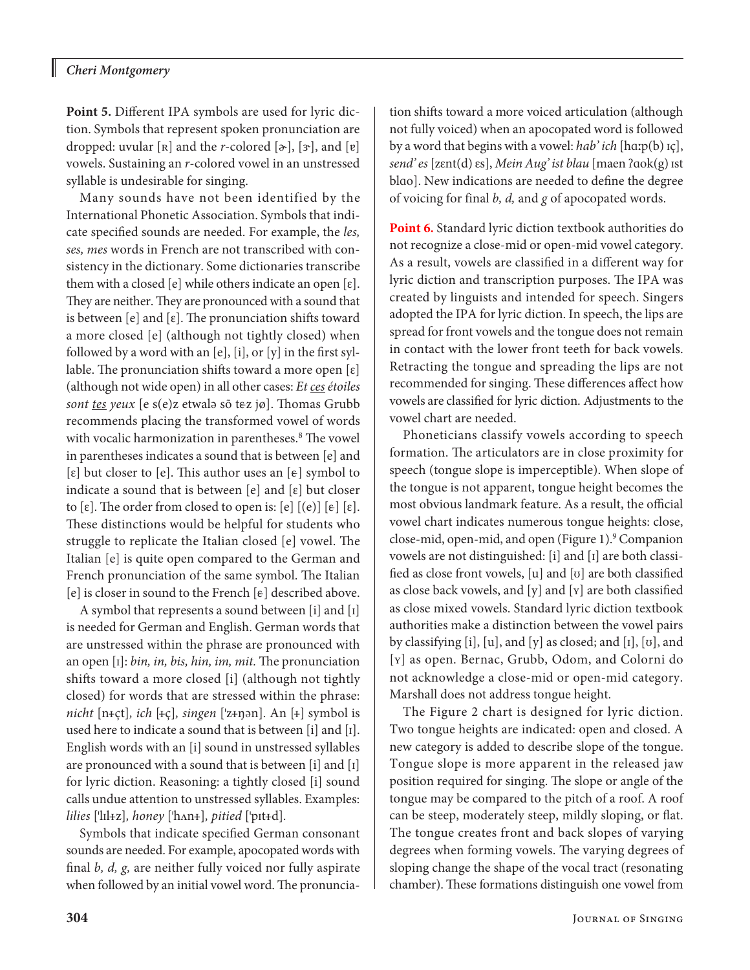## *Cheri Montgomery*

H

**Point 5.** Different IPA symbols are used for lyric diction. Symbols that represent spoken pronunciation are dropped: uvular [R] and the *r*-colored  $[\infty]$ , [3<sup>-</sup>], and [ɐ] vowels. Sustaining an *r*-colored vowel in an unstressed syllable is undesirable for singing.

Many sounds have not been identified by the International Phonetic Association. Symbols that indicate specified sounds are needed. For example, the *les, ses, mes* words in French are not transcribed with consistency in the dictionary. Some dictionaries transcribe them with a closed [e] while others indicate an open  $[\epsilon]$ . They are neither. They are pronounced with a sound that is between  $[e]$  and  $[\varepsilon]$ . The pronunciation shifts toward a more closed [e] (although not tightly closed) when followed by a word with an [e], [i], or [y] in the first syllable. The pronunciation shifts toward a more open  $[\varepsilon]$ (although not wide open) in all other cases: *Et ces étoiles*  sont tes yeux [e s(e)z etwalə sõ tez jø]. Thomas Grubb recommends placing the transformed vowel of words with vocalic harmonization in parentheses.<sup>8</sup> The vowel in parentheses indicates a sound that is between [e] and  $[\varepsilon]$  but closer to  $[\varepsilon]$ . This author uses an  $[\varepsilon]$  symbol to indicate a sound that is between  $[e]$  and  $[\varepsilon]$  but closer to  $[\varepsilon]$ . The order from closed to open is:  $[\varepsilon]$   $[(e)]$   $[\varepsilon]$ . These distinctions would be helpful for students who struggle to replicate the Italian closed [e] vowel. The Italian [e] is quite open compared to the German and French pronunciation of the same symbol. The Italian [e] is closer in sound to the French  $[\varepsilon]$  described above.

A symbol that represents a sound between [i] and [ɪ] is needed for German and English. German words that are unstressed within the phrase are pronounced with an open [ɪ]: *bin, in, bis, hin, im, mit.* The pronunciation shifts toward a more closed [i] (although not tightly closed) for words that are stressed within the phrase: *nicht* [n+çt], *ich* [+ç], *singen* ['z+ŋən]. An [+] symbol is used here to indicate a sound that is between [i] and [ɪ]. English words with an [i] sound in unstressed syllables are pronounced with a sound that is between [i] and [ɪ] for lyric diction. Reasoning: a tightly closed [i] sound calls undue attention to unstressed syllables. Examples: *lilies* ['lɪl+z], honey ['hʌn+], pitied ['pɪt+d].

Symbols that indicate specified German consonant sounds are needed. For example, apocopated words with final *b, d, g,* are neither fully voiced nor fully aspirate when followed by an initial vowel word. The pronunciation shifts toward a more voiced articulation (although not fully voiced) when an apocopated word is followed by a word that begins with a vowel: *hab' ich* [hɑːp(b) ɪç], *send' es* [zɛnt(d) ɛs], *Mein Aug' ist blau* [maen ʔɑok(g) ɪst blɑo]. New indications are needed to define the degree of voicing for final *b, d,* and *g* of apocopated words.

**Point 6.** Standard lyric diction textbook authorities do not recognize a close-mid or open-mid vowel category. As a result, vowels are classified in a different way for lyric diction and transcription purposes. The IPA was created by linguists and intended for speech. Singers adopted the IPA for lyric diction. In speech, the lips are spread for front vowels and the tongue does not remain in contact with the lower front teeth for back vowels. Retracting the tongue and spreading the lips are not recommended for singing. These differences affect how vowels are classified for lyric diction. Adjustments to the vowel chart are needed.

Phoneticians classify vowels according to speech formation. The articulators are in close proximity for speech (tongue slope is imperceptible). When slope of the tongue is not apparent, tongue height becomes the most obvious landmark feature. As a result, the official vowel chart indicates numerous tongue heights: close, close-mid, open-mid, and open (Figure 1).<sup>9</sup> Companion vowels are not distinguished: [i] and [ɪ] are both classified as close front vowels, [u] and [ʊ] are both classified as close back vowels, and [y] and [ʏ] are both classified as close mixed vowels. Standard lyric diction textbook authorities make a distinction between the vowel pairs by classifying [i], [u], and [y] as closed; and [ɪ], [ʊ], and [ʏ] as open. Bernac, Grubb, Odom, and Colorni do not acknowledge a close-mid or open-mid category. Marshall does not address tongue height.

The Figure 2 chart is designed for lyric diction. Two tongue heights are indicated: open and closed. A new category is added to describe slope of the tongue. Tongue slope is more apparent in the released jaw position required for singing. The slope or angle of the tongue may be compared to the pitch of a roof. A roof can be steep, moderately steep, mildly sloping, or flat. The tongue creates front and back slopes of varying degrees when forming vowels. The varying degrees of sloping change the shape of the vocal tract (resonating chamber). These formations distinguish one vowel from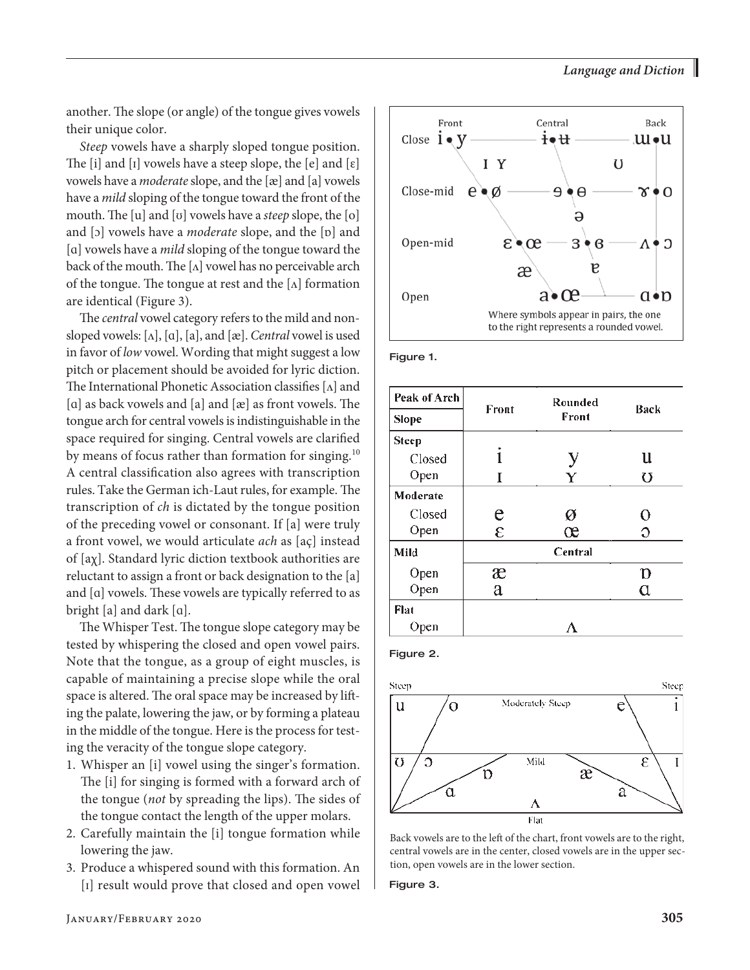another. The slope (or angle) of the tongue gives vowels their unique color.

*Steep* vowels have a sharply sloped tongue position. The [i] and [I] vowels have a steep slope, the  $[e]$  and  $[\varepsilon]$ vowels have a *moderate* slope, and the [æ] and [a] vowels have a *mild* sloping of the tongue toward the front of the mouth. The [u] and [ʊ] vowels have a *steep* slope, the [o] and [ɔ] vowels have a *moderate* slope, and the [ɒ] and [ɑ] vowels have a *mild* sloping of the tongue toward the back of the mouth. The  $[\Lambda]$  vowel has no perceivable arch of the tongue. The tongue at rest and the  $[\Lambda]$  formation are identical (Figure 3).

The *central* vowel category refers to the mild and nonsloped vowels: [ʌ], [ɑ], [a], and [æ]. *Central* vowel is used in favor of *low* vowel. Wording that might suggest a low pitch or placement should be avoided for lyric diction. The International Phonetic Association classifies  $[\Lambda]$  and [a] as back vowels and [a] and [æ] as front vowels. The tongue arch for central vowels is indistinguishable in the space required for singing. Central vowels are clarified by means of focus rather than formation for singing.<sup>10</sup> A central classification also agrees with transcription rules. Take the German ich-Laut rules, for example. The transcription of *ch* is dictated by the tongue position of the preceding vowel or consonant. If [a] were truly a front vowel, we would articulate *ach* as [aç] instead of [aχ]. Standard lyric diction textbook authorities are reluctant to assign a front or back designation to the [a] and [ɑ] vowels. These vowels are typically referred to as bright [a] and dark [ɑ].

The Whisper Test. The tongue slope category may be tested by whispering the closed and open vowel pairs. Note that the tongue, as a group of eight muscles, is capable of maintaining a precise slope while the oral space is altered. The oral space may be increased by lifting the palate, lowering the jaw, or by forming a plateau in the middle of the tongue. Here is the process for testing the veracity of the tongue slope category.

- 1. Whisper an [i] vowel using the singer's formation. The [i] for singing is formed with a forward arch of the tongue (*not* by spreading the lips). The sides of the tongue contact the length of the upper molars.
- 2. Carefully maintain the [i] tongue formation while lowering the jaw.
- 3. Produce a whispered sound with this formation. An [ɪ] result would prove that closed and open vowel



Figure 1.

| Peak of Arch |               | Rounded |              |  |
|--------------|---------------|---------|--------------|--|
| Slope        | Front         | Front   | Back         |  |
| <b>Steep</b> |               |         |              |  |
| Closed       |               | у       | u            |  |
| Open         | T             | Y       | U            |  |
| Moderate     |               |         |              |  |
| Closed       | e             | ø       | О            |  |
| Open         | $\varepsilon$ | œ       | O            |  |
| Mild         | Central       |         |              |  |
| Open         | æ             |         | $\mathbf{D}$ |  |
| Open         | a             |         | α            |  |
| Flat         |               |         |              |  |
| Open         |               |         |              |  |

Figure 2.



Back vowels are to the left of the chart, front vowels are to the right, central vowels are in the center, closed vowels are in the upper section, open vowels are in the lower section.

Figure 3.